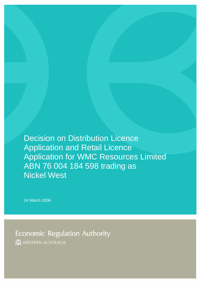Decision on Distribution Licence Application and Retail Licence Application for WMC Resources Limited ABN 76 004 184 598 trading as Nickel West

24 March 2006

**Economic Regulation Authority** 

**IN WESTERN AUSTRALIA**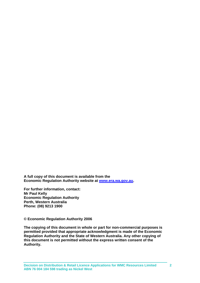**A full copy of this document is available from the Economic Regulation Authority website at [www.era.wa.gov.au](http://www.era.wa.gov.au/).** 

**For further information, contact: Mr Paul Kelly Economic Regulation Authority Perth, Western Australia Phone: (08) 9213 1900** 

**© Economic Regulation Authority 2006** 

**The copying of this document in whole or part for non-commercial purposes is permitted provided that appropriate acknowledgment is made of the Economic Regulation Authority and the State of Western Australia. Any other copying of this document is not permitted without the express written consent of the Authority.**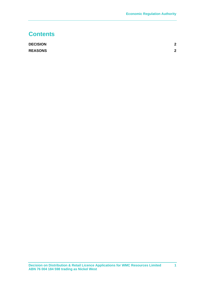## **Contents**

| <b>DECISION</b> | ົ |
|-----------------|---|
| <b>REASONS</b>  | 2 |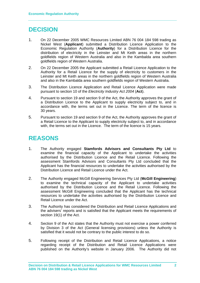## <span id="page-3-0"></span>**DECISION**

- 1. On 22 December 2005 WMC Resources Limited ABN 76 004 184 598 trading as Nickel West (**Applicant**) submitted a Distribution Licence Application to the Economic Regulation Authority (**Authority**) for a Distribution Licence for the distribution of electricity in the Leinster and Mt Keith areas in the northern goldfields region of Western Australia and also in the Kambalda area southern goldfields region of Western Australia.
- 2. On 22 December 2005 the Applicant submitted a Retail Licence Application to the Authority for a Retail Licence for the supply of electricity to customers in the Leinster and Mt Keith areas in the northern goldfields region of Western Australia and also in the Kambalda area southern goldfields region of Western Australia.
- 3. The Distribution Licence Application and Retail Licence Application were made pursuant to section 10 of the *Electricity Industry Act 2004* (**Act**).
- 4. Pursuant to section 19 and section 9 of the Act, the Authority approves the grant of a Distribution Licence to the Applicant to supply electricity subject to, and in accordance with, the terms set out in the Licence. The term of the licence is 30 years.
- 5. Pursuant to section 19 and section 9 of the Act, the Authority approves the grant of a Retail Licence to the Applicant to supply electricity subject to, and in accordance with, the terms set out in the Licence. The term of the licence is 15 years.

## **REASONS**

- 1. The Authority engaged **Stamfords Advisors and Consultants Pty Ltd** to examine the financial capacity of the Applicant to undertake the activities authorised by the Distribution Licence and the Retail Licence. Following the assessment Stamfords Advisors and Consultants Pty Ltd concluded that the Applicant has the financial resources to undertake the activities authorised by the Distribution Licence and Retail Licence under the Act.
- 2. The Authority engaged McGill Engineering Services Pty Ltd (**McGill Engineering**) to examine the technical capacity of the Applicant to undertake activities authorised by the Distribution Licence and the Retail Licence. Following the assessment McGill Engineering concluded that the Applicant has the technical resources to undertake the activities authorised by the Distribution Licence and Retail Licence under the Act.
- 3. The Authority has considered the Distribution and Retail Licence Applications and the advisers' reports and is satisfied that the Applicant meets the requirements of section 19(1) of the Act.
- 4. Section 9 of the Act states that the Authority must not exercise a power conferred by Division 3 of the Act (General licensing provisions) unless the Authority is satisfied that it would not be contrary to the public interest to do so.
- 5. Following receipt of the Distribution and Retail Licence Applications, a notice regarding receipt of the Distribution and Retail Licence Applications were published on the Authority's website in January 2006. The Authority did not